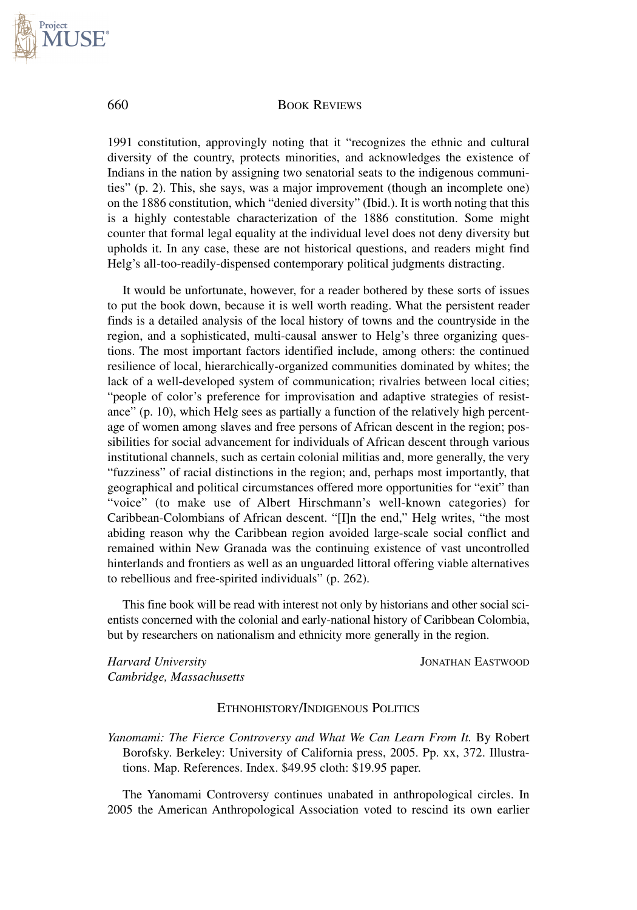## 660 BOOK REVIEWS

1991 constitution, approvingly noting that it "recognizes the ethnic and cultural diversity of the country, protects minorities, and acknowledges the existence of Indians in the nation by assigning two senatorial seats to the indigenous communities" (p. 2). This, she says, was a major improvement (though an incomplete one) on the 1886 constitution, which "denied diversity" (Ibid.). It is worth noting that this is a highly contestable characterization of the 1886 constitution. Some might counter that formal legal equality at the individual level does not deny diversity but upholds it. In any case, these are not historical questions, and readers might find Helg's all-too-readily-dispensed contemporary political judgments distracting.

It would be unfortunate, however, for a reader bothered by these sorts of issues to put the book down, because it is well worth reading. What the persistent reader finds is a detailed analysis of the local history of towns and the countryside in the region, and a sophisticated, multi-causal answer to Helg's three organizing questions. The most important factors identified include, among others: the continued resilience of local, hierarchically-organized communities dominated by whites; the lack of a well-developed system of communication; rivalries between local cities; "people of color's preference for improvisation and adaptive strategies of resistance" (p. 10), which Helg sees as partially a function of the relatively high percentage of women among slaves and free persons of African descent in the region; possibilities for social advancement for individuals of African descent through various institutional channels, such as certain colonial militias and, more generally, the very "fuzziness" of racial distinctions in the region; and, perhaps most importantly, that geographical and political circumstances offered more opportunities for "exit" than "voice" (to make use of Albert Hirschmann's well-known categories) for Caribbean-Colombians of African descent. "[I]n the end," Helg writes, "the most abiding reason why the Caribbean region avoided large-scale social conflict and remained within New Granada was the continuing existence of vast uncontrolled hinterlands and frontiers as well as an unguarded littoral offering viable alternatives to rebellious and free-spirited individuals" (p. 262).

This fine book will be read with interest not only by historians and other social scientists concerned with the colonial and early-national history of Caribbean Colombia, but by researchers on nationalism and ethnicity more generally in the region.

*Harvard University* JONATHAN EASTWOOD *Cambridge, Massachusetts*

## ETHNOHISTORY/INDIGENOUS POLITICS

*Yanomami: The Fierce Controversy and What We Can Learn From It.* By Robert Borofsky. Berkeley: University of California press, 2005. Pp. xx, 372. Illustrations. Map. References. Index. \$49.95 cloth: \$19.95 paper.

The Yanomami Controversy continues unabated in anthropological circles. In 2005 the American Anthropological Association voted to rescind its own earlier

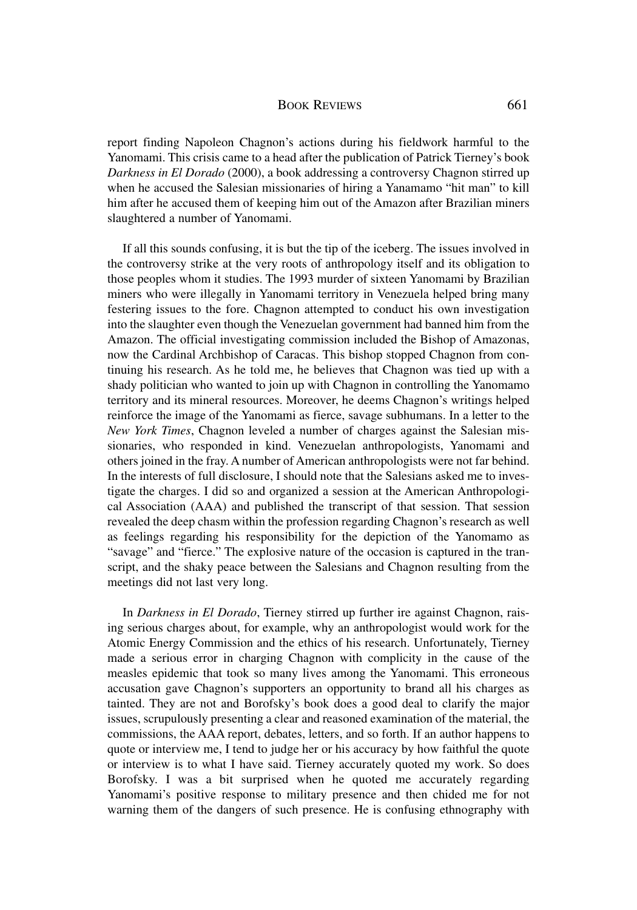## BOOK REVIEWS 661

report finding Napoleon Chagnon's actions during his fieldwork harmful to the Yanomami. This crisis came to a head after the publication of Patrick Tierney's book *Darkness in El Dorado* (2000), a book addressing a controversy Chagnon stirred up when he accused the Salesian missionaries of hiring a Yanamamo "hit man" to kill him after he accused them of keeping him out of the Amazon after Brazilian miners slaughtered a number of Yanomami.

If all this sounds confusing, it is but the tip of the iceberg. The issues involved in the controversy strike at the very roots of anthropology itself and its obligation to those peoples whom it studies. The 1993 murder of sixteen Yanomami by Brazilian miners who were illegally in Yanomami territory in Venezuela helped bring many festering issues to the fore. Chagnon attempted to conduct his own investigation into the slaughter even though the Venezuelan government had banned him from the Amazon. The official investigating commission included the Bishop of Amazonas, now the Cardinal Archbishop of Caracas. This bishop stopped Chagnon from continuing his research. As he told me, he believes that Chagnon was tied up with a shady politician who wanted to join up with Chagnon in controlling the Yanomamo territory and its mineral resources. Moreover, he deems Chagnon's writings helped reinforce the image of the Yanomami as fierce, savage subhumans. In a letter to the *New York Times*, Chagnon leveled a number of charges against the Salesian missionaries, who responded in kind. Venezuelan anthropologists, Yanomami and others joined in the fray. A number of American anthropologists were not far behind. In the interests of full disclosure, I should note that the Salesians asked me to investigate the charges. I did so and organized a session at the American Anthropological Association (AAA) and published the transcript of that session. That session revealed the deep chasm within the profession regarding Chagnon's research as well as feelings regarding his responsibility for the depiction of the Yanomamo as "savage" and "fierce." The explosive nature of the occasion is captured in the transcript, and the shaky peace between the Salesians and Chagnon resulting from the meetings did not last very long.

In *Darkness in El Dorado*, Tierney stirred up further ire against Chagnon, raising serious charges about, for example, why an anthropologist would work for the Atomic Energy Commission and the ethics of his research. Unfortunately, Tierney made a serious error in charging Chagnon with complicity in the cause of the measles epidemic that took so many lives among the Yanomami. This erroneous accusation gave Chagnon's supporters an opportunity to brand all his charges as tainted. They are not and Borofsky's book does a good deal to clarify the major issues, scrupulously presenting a clear and reasoned examination of the material, the commissions, the AAA report, debates, letters, and so forth. If an author happens to quote or interview me, I tend to judge her or his accuracy by how faithful the quote or interview is to what I have said. Tierney accurately quoted my work. So does Borofsky. I was a bit surprised when he quoted me accurately regarding Yanomami's positive response to military presence and then chided me for not warning them of the dangers of such presence. He is confusing ethnography with